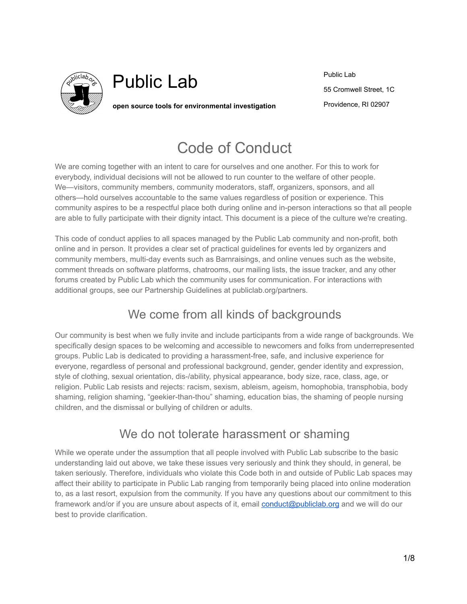

# Public Lab

**open source tools for environmental investigation**

Public Lab 55 Cromwell Street, 1C Providence, RI 02907

## Code of Conduct

We are coming together with an intent to care for ourselves and one another. For this to work for everybody, individual decisions will not be allowed to run counter to the welfare of other people. We—visitors, community members, community moderators, staff, organizers, sponsors, and all others—hold ourselves accountable to the same values regardless of position or experience. This community aspires to be a respectful place both during online and in-person interactions so that all people are able to fully participate with their dignity intact. This document is a piece of the culture we're creating.

This code of conduct applies to all spaces managed by the Public Lab community and non-profit, both online and in person. It provides a clear set of practical guidelines for events led by organizers and community members, multi-day events such as Barnraisings, and online venues such as the website, comment threads on software platforms, chatrooms, our mailing lists, the issue tracker, and any other forums created by Public Lab which the community uses for communication. For interactions with additional groups, see our Partnership Guidelines at publiclab.org/partners.

## We come from all kinds of backgrounds

Our community is best when we fully invite and include participants from a wide range of backgrounds. We specifically design spaces to be welcoming and accessible to newcomers and folks from underrepresented groups. Public Lab is dedicated to providing a harassment-free, safe, and inclusive experience for everyone, regardless of personal and professional background, gender, gender identity and expression, style of clothing, sexual orientation, dis-/ability, physical appearance, body size, race, class, age, or religion. Public Lab resists and rejects: racism, sexism, ableism, ageism, homophobia, transphobia, body shaming, religion shaming, "geekier-than-thou" shaming, education bias, the shaming of people nursing children, and the dismissal or bullying of children or adults.

## We do not tolerate harassment or shaming

While we operate under the assumption that all people involved with Public Lab subscribe to the basic understanding laid out above, we take these issues very seriously and think they should, in general, be taken seriously. Therefore, individuals who violate this Code both in and outside of Public Lab spaces may affect their ability to participate in Public Lab ranging from temporarily being placed into online moderation to, as a last resort, expulsion from the community. If you have any questions about our commitment to this framework and/or if you are unsure about aspects of it, email [conduct@publiclab.org](mailto:conduct@publiclab.org) and we will do our best to provide clarification.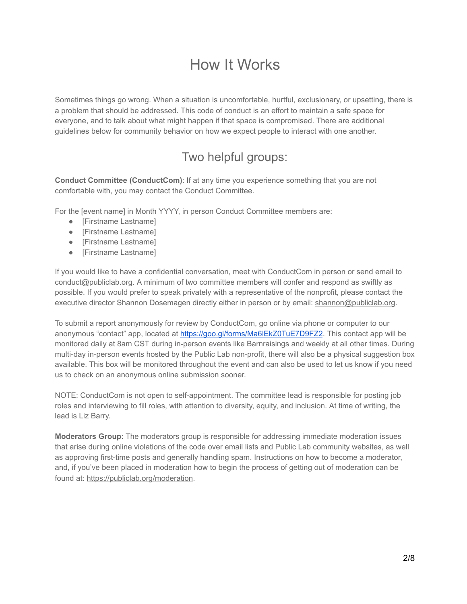## How It Works

Sometimes things go wrong. When a situation is uncomfortable, hurtful, exclusionary, or upsetting, there is a problem that should be addressed. This code of conduct is an effort to maintain a safe space for everyone, and to talk about what might happen if that space is compromised. There are additional guidelines below for community behavior on how we expect people to interact with one another.

## Two helpful groups:

**Conduct Committee (ConductCom)**: If at any time you experience something that you are not comfortable with, you may contact the Conduct Committee.

For the [event name] in Month YYYY, in person Conduct Committee members are:

- [Firstname Lastname]
- [Firstname Lastname]
- [Firstname Lastname]
- [Firstname Lastname]

If you would like to have a confidential conversation, meet with ConductCom in person or send email to conduct@publiclab.org. A minimum of two committee members will confer and respond as swiftly as possible. If you would prefer to speak privately with a representative of the nonprofit, please contact the executive director Shannon Dosemagen directly either in person or by email: [shannon@publiclab.org](mailto:shannon@publiclab.org).

To submit a report anonymously for review by ConductCom, go online via phone or computer to our anonymous "contact" app, located at <https://goo.gl/forms/Ma6lEkZ0TuE7D9FZ2>. This contact app will be monitored daily at 8am CST during in-person events like Barnraisings and weekly at all other times. During multi-day in-person events hosted by the Public Lab non-profit, there will also be a physical suggestion box available. This box will be monitored throughout the event and can also be used to let us know if you need us to check on an anonymous online submission sooner.

NOTE: ConductCom is not open to self-appointment. The committee lead is responsible for posting job roles and interviewing to fill roles, with attention to diversity, equity, and inclusion. At time of writing, the lead is Liz Barry.

**Moderators Group**: The moderators group is responsible for addressing immediate moderation issues that arise during online violations of the code over email lists and Public Lab community websites, as well as approving first-time posts and generally handling spam. Instructions on how to become a moderator, and, if you've been placed in moderation how to begin the process of getting out of moderation can be found at: [https://publiclab.org/moderation.](https://publiclab.org/wiki/moderation)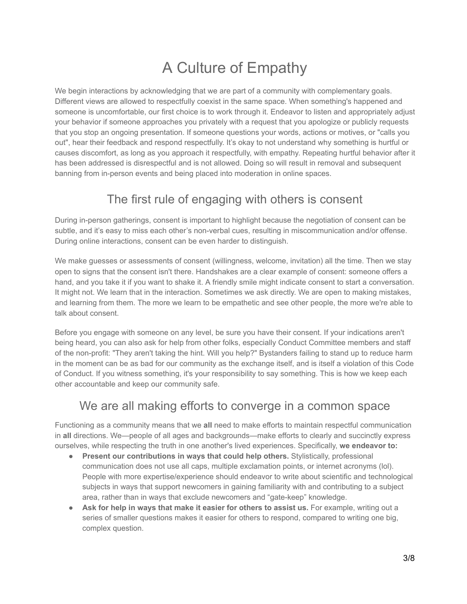# A Culture of Empathy

We begin interactions by acknowledging that we are part of a community with complementary goals. Different views are allowed to respectfully coexist in the same space. When something's happened and someone is uncomfortable, our first choice is to work through it. Endeavor to listen and appropriately adjust your behavior if someone approaches you privately with a request that you apologize or publicly requests that you stop an ongoing presentation. If someone questions your words, actions or motives, or "calls you out", hear their feedback and respond respectfully. It's okay to not understand why something is hurtful or causes discomfort, as long as you approach it respectfully, with empathy. Repeating hurtful behavior after it has been addressed is disrespectful and is not allowed. Doing so will result in removal and subsequent banning from in-person events and being placed into moderation in online spaces.

### The first rule of engaging with others is consent

During in-person gatherings, consent is important to highlight because the negotiation of consent can be subtle, and it's easy to miss each other's non-verbal cues, resulting in miscommunication and/or offense. During online interactions, consent can be even harder to distinguish.

We make guesses or assessments of consent (willingness, welcome, invitation) all the time. Then we stay open to signs that the consent isn't there. Handshakes are a clear example of consent: someone offers a hand, and you take it if you want to shake it. A friendly smile might indicate consent to start a conversation. It might not. We learn that in the interaction. Sometimes we ask directly. We are open to making mistakes, and learning from them. The more we learn to be empathetic and see other people, the more we're able to talk about consent.

Before you engage with someone on any level, be sure you have their consent. If your indications aren't being heard, you can also ask for help from other folks, especially Conduct Committee members and staff of the non-profit: "They aren't taking the hint. Will you help?" Bystanders failing to stand up to reduce harm in the moment can be as bad for our community as the exchange itself, and is itself a violation of this Code of Conduct. If you witness something, it's your responsibility to say something. This is how we keep each other accountable and keep our community safe.

### We are all making efforts to converge in a common space

Functioning as a community means that we **all** need to make efforts to maintain respectful communication in **all** directions. We—people of all ages and backgrounds—make efforts to clearly and succinctly express ourselves, while respecting the truth in one another's lived experiences. Specifically, **we endeavor to:**

- **Present our contributions in ways that could help others.** Stylistically, professional communication does not use all caps, multiple exclamation points, or internet acronyms (lol). People with more expertise/experience should endeavor to write about scientific and technological subjects in ways that support newcomers in gaining familiarity with and contributing to a subject area, rather than in ways that exclude newcomers and "gate-keep" knowledge.
- **Ask for help in ways that make it easier for others to assist us.** For example, writing out a series of smaller questions makes it easier for others to respond, compared to writing one big, complex question.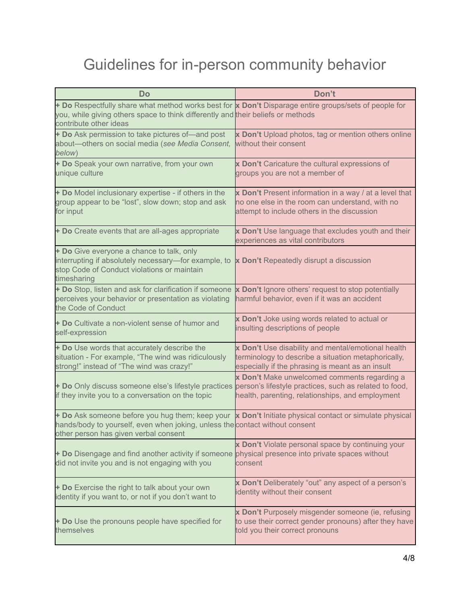# Guidelines for in-person community behavior

| <b>Do</b>                                                                                                                                                                                                                       | Don't                                                                                                                                                         |
|---------------------------------------------------------------------------------------------------------------------------------------------------------------------------------------------------------------------------------|---------------------------------------------------------------------------------------------------------------------------------------------------------------|
| + Do Respectfully share what method works best for x Don't Disparage entire groups/sets of people for<br>you, while giving others space to think differently and their beliefs or methods<br>contribute other ideas             |                                                                                                                                                               |
| + Do Ask permission to take pictures of-and post<br>about-others on social media (see Media Consent,<br>below)                                                                                                                  | x Don't Upload photos, tag or mention others online<br>without their consent                                                                                  |
| + Do Speak your own narrative, from your own<br>unique culture                                                                                                                                                                  | x Don't Caricature the cultural expressions of<br>groups you are not a member of                                                                              |
| + Do Model inclusionary expertise - if others in the<br>group appear to be "lost", slow down; stop and ask<br>for input                                                                                                         | x Don't Present information in a way / at a level that<br>no one else in the room can understand, with no<br>attempt to include others in the discussion      |
| + Do Create events that are all-ages appropriate                                                                                                                                                                                | x Don't Use language that excludes youth and their<br>experiences as vital contributors                                                                       |
| + Do Give everyone a chance to talk, only<br>interrupting if absolutely necessary-for example, to<br>stop Code of Conduct violations or maintain<br>timesharing                                                                 | x Don't Repeatedly disrupt a discussion                                                                                                                       |
| + Do Stop, listen and ask for clarification if someone<br>perceives your behavior or presentation as violating<br>the Code of Conduct                                                                                           | x Don't Ignore others' request to stop potentially<br>harmful behavior, even if it was an accident                                                            |
| + Do Cultivate a non-violent sense of humor and<br>self-expression                                                                                                                                                              | x Don't Joke using words related to actual or<br>insulting descriptions of people                                                                             |
| + Do Use words that accurately describe the<br>situation - For example, "The wind was ridiculously<br>strong!" instead of "The wind was crazy!"                                                                                 | x Don't Use disability and mental/emotional health<br>terminology to describe a situation metaphorically,<br>especially if the phrasing is meant as an insult |
| + Do Only discuss someone else's lifestyle practices<br>if they invite you to a conversation on the topic                                                                                                                       | x Don't Make unwelcomed comments regarding a<br>person's lifestyle practices, such as related to food,<br>health, parenting, relationships, and employment    |
| + Do Ask someone before you hug them; keep your x Don't Initiate physical contact or simulate physical<br>hands/body to yourself, even when joking, unless the contact without consent<br>other person has given verbal consent |                                                                                                                                                               |
| + Do Disengage and find another activity if someone<br>did not invite you and is not engaging with you                                                                                                                          | x Don't Violate personal space by continuing your<br>physical presence into private spaces without<br>consent                                                 |
| + Do Exercise the right to talk about your own<br>identity if you want to, or not if you don't want to                                                                                                                          | x Don't Deliberately "out" any aspect of a person's<br>identity without their consent                                                                         |
| + Do Use the pronouns people have specified for<br>themselves                                                                                                                                                                   | x Don't Purposely misgender someone (ie, refusing<br>to use their correct gender pronouns) after they have<br>told you their correct pronouns                 |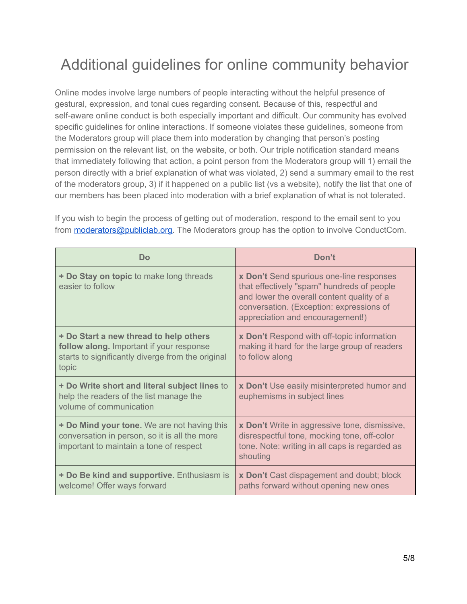## Additional guidelines for online community behavior

Online modes involve large numbers of people interacting without the helpful presence of gestural, expression, and tonal cues regarding consent. Because of this, respectful and self-aware online conduct is both especially important and difficult. Our community has evolved specific guidelines for online interactions. If someone violates these guidelines, someone from the Moderators group will place them into moderation by changing that person's posting permission on the relevant list, on the website, or both. Our triple notification standard means that immediately following that action, a point person from the Moderators group will 1) email the person directly with a brief explanation of what was violated, 2) send a summary email to the rest of the moderators group, 3) if it happened on a public list (vs a website), notify the list that one of our members has been placed into moderation with a brief explanation of what is not tolerated.

| <b>Do</b>                                                                                                                                        | Don't                                                                                                                                                                                                                |
|--------------------------------------------------------------------------------------------------------------------------------------------------|----------------------------------------------------------------------------------------------------------------------------------------------------------------------------------------------------------------------|
| + Do Stay on topic to make long threads<br>easier to follow                                                                                      | x Don't Send spurious one-line responses<br>that effectively "spam" hundreds of people<br>and lower the overall content quality of a<br>conversation. (Exception: expressions of<br>appreciation and encouragement!) |
| + Do Start a new thread to help others<br>follow along. Important if your response<br>starts to significantly diverge from the original<br>topic | <b>x Don't Respond with off-topic information</b><br>making it hard for the large group of readers<br>to follow along                                                                                                |
| + Do Write short and literal subject lines to<br>help the readers of the list manage the<br>volume of communication                              | x Don't Use easily misinterpreted humor and<br>euphemisms in subject lines                                                                                                                                           |
| + Do Mind your tone. We are not having this<br>conversation in person, so it is all the more<br>important to maintain a tone of respect          | x Don't Write in aggressive tone, dismissive,<br>disrespectful tone, mocking tone, off-color<br>tone. Note: writing in all caps is regarded as<br>shouting                                                           |
| + Do Be kind and supportive. Enthusiasm is<br>welcome! Offer ways forward                                                                        | x Don't Cast dispagement and doubt; block<br>paths forward without opening new ones                                                                                                                                  |

If you wish to begin the process of getting out of moderation, respond to the email sent to you from **[moderators@publiclab.org](mailto:moderators@publiclab.org)**. The Moderators group has the option to involve ConductCom.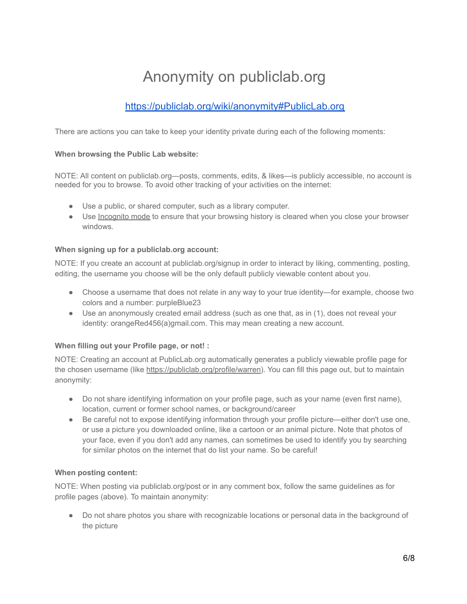# Anonymity on publiclab.org

### <https://publiclab.org/wiki/anonymity#PublicLab.org>

There are actions you can take to keep your identity private during each of the following moments:

### **When browsing the Public Lab website:**

NOTE: All content on publiclab.org—posts, comments, edits, & likes—is publicly accessible, no account is needed for you to browse. To avoid other tracking of your activities on the internet:

- Use a public, or shared computer, such as a library computer.
- Use [Incognito](https://myshadow.org/increase-your-privacy) mode to ensure that your browsing history is cleared when you close your browser windows.

### **When signing up for a publiclab.org account:**

NOTE: If you create an account at publiclab.org/signup in order to interact by liking, commenting, posting, editing, the username you choose will be the only default publicly viewable content about you.

- Choose a username that does not relate in any way to your true identity—for example, choose two colors and a number: purpleBlue23
- Use an anonymously created email address (such as one that, as in (1), does not reveal your identity: orangeRed456(a)gmail.com. This may mean creating a new account.

### **When filling out your Profile page, or not! :**

NOTE: Creating an account at PublicLab.org automatically generates a publicly viewable profile page for the chosen username (like <https://publiclab.org/profile/warren>). You can fill this page out, but to maintain anonymity:

- Do not share identifying information on your profile page, such as your name (even first name), location, current or former school names, or background/career
- Be careful not to expose identifying information through your profile picture—either don't use one, or use a picture you downloaded online, like a cartoon or an animal picture. Note that photos of your face, even if you don't add any names, can sometimes be used to identify you by searching for similar photos on the internet that do list your name. So be careful!

### **When posting content:**

NOTE: When posting via publiclab.org/post or in any comment box, follow the same guidelines as for profile pages (above). To maintain anonymity:

● Do not share photos you share with recognizable locations or personal data in the background of the picture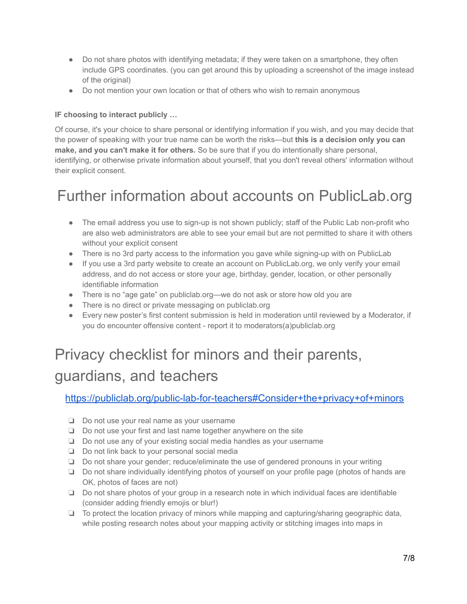- Do not share photos with identifying metadata; if they were taken on a smartphone, they often include GPS coordinates. (you can get around this by uploading a screenshot of the image instead of the original)
- Do not mention your own location or that of others who wish to remain anonymous

### **IF choosing to interact publicly …**

Of course, it's your choice to share personal or identifying information if you wish, and you may decide that the power of speaking with your true name can be worth the risks—but **this is a decision only you can make, and you can't make it for others.** So be sure that if you do intentionally share personal, identifying, or otherwise private information about yourself, that you don't reveal others' information without their explicit consent.

## Further information about accounts on PublicLab.org

- The email address you use to sign-up is not shown publicly; staff of the Public Lab non-profit who are also web administrators are able to see your email but are not permitted to share it with others without your explicit consent
- There is no 3rd party access to the information you gave while signing-up with on PublicLab
- If you use a 3rd party website to create an account on PublicLab.org, we only verify your email address, and do not access or store your age, birthday, gender, location, or other personally identifiable information
- There is no "age gate" on publiclab.org—we do not ask or store how old you are
- There is no direct or private messaging on publiclab.org
- Every new poster's first content submission is held in moderation until reviewed by a Moderator, if you do encounter offensive content - report it to moderators(a)publiclab.org

# Privacy checklist for minors and their parents, guardians, and teachers

[https://publiclab.org/public-lab-for-teachers#Consider+the+privacy+of+minors](https://publiclab.org/wiki/public-lab-for-teachers#Consider+the+privacy+of+minors)

- ❏ Do not use your real name as your username
- ❏ Do not use your first and last name together anywhere on the site
- ❏ Do not use any of your existing social media handles as your username
- ❏ Do not link back to your personal social media
- ❏ Do not share your gender; reduce/eliminate the use of gendered pronouns in your writing
- ❏ Do not share individually identifying photos of yourself on your profile page (photos of hands are OK, photos of faces are not)
- ❏ Do not share photos of your group in a research note in which individual faces are identifiable (consider adding friendly emojis or blur!)
- ❏ To protect the location privacy of minors while mapping and capturing/sharing geographic data, while posting research notes about your mapping activity or stitching images into maps in